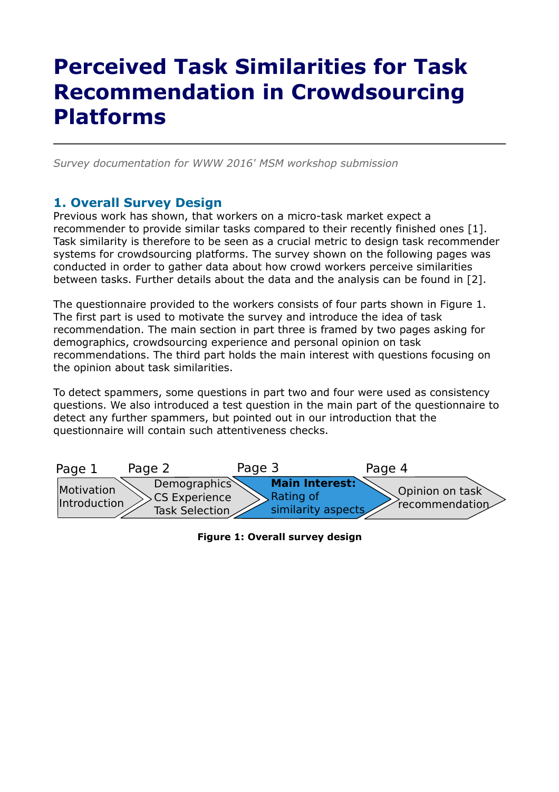# **Perceived Task Similarities for Task Recommendation in Crowdsourcing Platforms**

*Survey documentation for WWW 2016' MSM workshop submission*

#### **1. Overall Survey Design**

Previous work has shown, that workers on a micro-task market expect a recommender to provide similar tasks compared to their recently finished ones [1]. Task similarity is therefore to be seen as a crucial metric to design task recommender systems for crowdsourcing platforms. The survey shown on the following pages was conducted in order to gather data about how crowd workers perceive similarities between tasks. Further details about the data and the analysis can be found in [2].

The questionnaire provided to the workers consists of four parts shown in Figure 1. The first part is used to motivate the survey and introduce the idea of task recommendation. The main section in part three is framed by two pages asking for demographics, crowdsourcing experience and personal opinion on task recommendations. The third part holds the main interest with questions focusing on the opinion about task similarities.

To detect spammers, some questions in part two and four were used as consistency questions. We also introduced a test question in the main part of the questionnaire to detect any further spammers, but pointed out in our introduction that the questionnaire will contain such attentiveness checks.



**Figure 1: Overall survey design**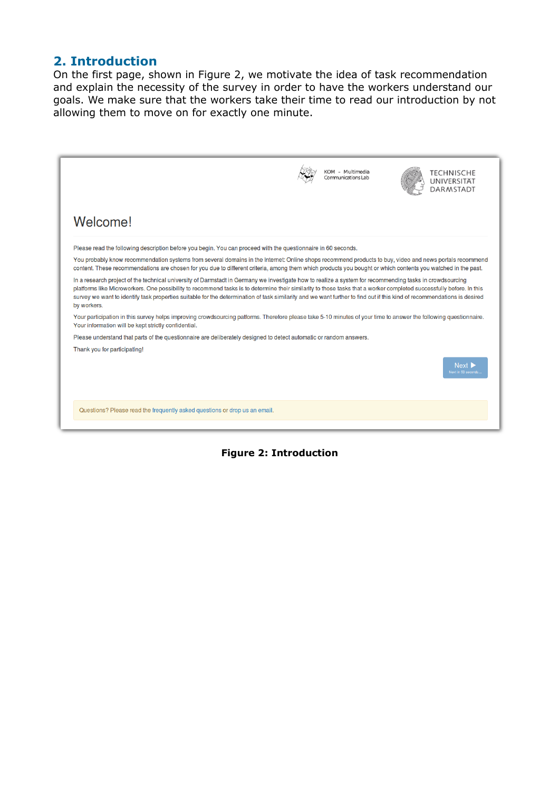#### **2. Introduction**

On the first page, shown in Figure 2, we motivate the idea of task recommendation and explain the necessity of the survey in order to have the workers understand our goals. We make sure that the workers take their time to read our introduction by not allowing them to move on for exactly one minute.

|                                                                                                                                                                                                                                                                                                                                                                                                                                                                                                                            | KOM - Multimedia<br>Communications Lab | TECHNISCHE<br><b>UNIVERSITAT</b><br><b>DARMSTADT</b> |
|----------------------------------------------------------------------------------------------------------------------------------------------------------------------------------------------------------------------------------------------------------------------------------------------------------------------------------------------------------------------------------------------------------------------------------------------------------------------------------------------------------------------------|----------------------------------------|------------------------------------------------------|
| Welcome!                                                                                                                                                                                                                                                                                                                                                                                                                                                                                                                   |                                        |                                                      |
| Please read the following description before you begin. You can proceed with the questionnaire in 60 seconds.                                                                                                                                                                                                                                                                                                                                                                                                              |                                        |                                                      |
| You probably know recommendation systems from several domains in the Internet: Online shops recommend products to buy, video and news portals recommend<br>content. These recommendations are chosen for you due to different criteria, among them which products you bought or which contents you watched in the past.                                                                                                                                                                                                    |                                        |                                                      |
| In a research project of the technical university of Darmstadt in Germany we investigate how to realize a system for recommending tasks in crowdsourcing<br>platforms like Microworkers. One possibility to recommend tasks is to determine their similarity to those tasks that a worker completed successfully before. In this<br>survey we want to identify task properties suitable for the determination of task similarity and we want further to find out if this kind of recommendations is desired<br>by workers. |                                        |                                                      |
| Your participation in this survey helps improving crowdsourcing patforms. Therefore please take 5-10 minutes of your time to answer the following questionnaire.<br>Your information will be kept strictly confidential.                                                                                                                                                                                                                                                                                                   |                                        |                                                      |
| Please understand that parts of the questionnaire are deliberately designed to detect automatic or random answers.                                                                                                                                                                                                                                                                                                                                                                                                         |                                        |                                                      |
| Thank you for participating!                                                                                                                                                                                                                                                                                                                                                                                                                                                                                               |                                        | <b>Next</b><br>Next in 53 seconds                    |
| Questions? Please read the frequently asked questions or drop us an email.                                                                                                                                                                                                                                                                                                                                                                                                                                                 |                                        |                                                      |

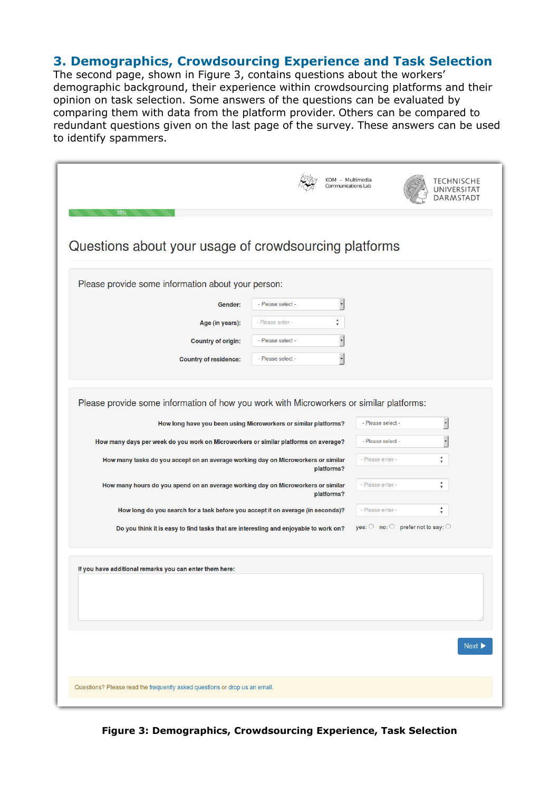## **3. Demographics, Crowdsourcing Experience and Task Selection**

The second page, shown in Figure 3, contains questions about the workers' demographic background, their experience within crowdsourcing platforms and their opinion on task selection. Some answers of the questions can be evaluated by comparing them with data from the platform provider. Others can be compared to redundant questions given on the last page of the survey. These answers can be used to identify spammers.

| KOM - Multimedia<br>Communications Lab<br>25%                                                                                                              |                                                              |
|------------------------------------------------------------------------------------------------------------------------------------------------------------|--------------------------------------------------------------|
| Questions about your usage of crowdsourcing platforms                                                                                                      |                                                              |
| Please provide some information about your person:                                                                                                         |                                                              |
| $\ddot{\phantom{0}}$<br>- Please select -<br>Gender:                                                                                                       |                                                              |
| $\frac{\Delta}{\Psi}$<br>- Please enter -<br>Age (in years):                                                                                               |                                                              |
| $\cdot$<br>- Please select -<br><b>Country of origin:</b>                                                                                                  |                                                              |
| ,<br>- Please select -<br><b>Country of residence:</b>                                                                                                     |                                                              |
|                                                                                                                                                            |                                                              |
| Please provide some information of how you work with Microworkers or similar platforms:<br>How long have you been using Microworkers or similar platforms? | $\cdot$<br>- Please select -                                 |
| How many days per week do you work on Microworkers or similar platforms on average?                                                                        | ,<br>- Please select -                                       |
| How many tasks do you accept on an average working day on Microworkers or similar<br>platforms?                                                            | $\overset{\mathtt{A}}{\mathtt{v}}$<br>- Please enter -       |
| How many hours do you spend on an average working day on Microworkers or similar<br>platforms?                                                             | $\frac{\Delta}{\Psi}$<br>- Please enter -                    |
| How long do you search for a task before you accept it on average (in seconds)?                                                                            | $\overset{\mathtt{A}}{\mathtt{v}}$<br>- Please enter -       |
| Do you think it is easy to find tasks that are interesting and enjoyable to work on?                                                                       | yes: $\bigcirc$ no: $\bigcirc$ prefer not to say: $\bigcirc$ |
| If you have additional remarks you can enter them here:                                                                                                    |                                                              |
|                                                                                                                                                            |                                                              |
|                                                                                                                                                            |                                                              |
|                                                                                                                                                            | Next D                                                       |
| Questions? Please read the frequently asked questions or drop us an email.                                                                                 |                                                              |

**Figure 3: Demographics, Crowdsourcing Experience, Task Selection**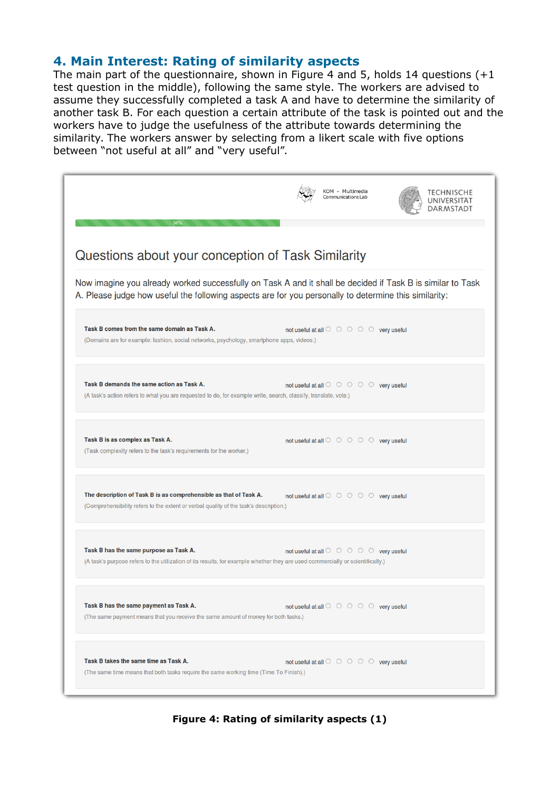#### **4. Main Interest: Rating of similarity aspects**

The main part of the questionnaire, shown in Figure 4 and 5, holds 14 questions  $(+1)$ test question in the middle), following the same style. The workers are advised to assume they successfully completed a task A and have to determine the similarity of another task B. For each question a certain attribute of the task is pointed out and the workers have to judge the usefulness of the attribute towards determining the similarity. The workers answer by selecting from a likert scale with five options between "not useful at all" and "very useful".

| 50%                                                                                                                                                                                                                 | KOM - Multimedia<br>Communications Lab                                        |
|---------------------------------------------------------------------------------------------------------------------------------------------------------------------------------------------------------------------|-------------------------------------------------------------------------------|
| Questions about your conception of Task Similarity                                                                                                                                                                  |                                                                               |
| Now imagine you already worked successfully on Task A and it shall be decided if Task B is similar to Task<br>A. Please judge how useful the following aspects are for you personally to determine this similarity: |                                                                               |
| Task B comes from the same domain as Task A.<br>(Domains are for example: fashion, social networks, psychology, smartphone apps, videos.)                                                                           | not useful at all $\circ$ $\circ$ $\circ$ $\circ$ $\circ$ $\circ$ very useful |
| Task B demands the same action as Task A.<br>(A task's action refers to what you are requested to do, for example write, search, classify, translate, vote.)                                                        | not useful at all $\circ$ $\circ$ $\circ$ $\circ$ $\circ$ $\circ$ very useful |
| Task B is as complex as Task A.<br>(Task complexity refers to the task's requirements for the worker.)                                                                                                              | not useful at all $\circ \circ \circ \circ \circ$ very useful                 |
| The description of Task B is as comprehensible as that of Task A.<br>(Comprehensibility refers to the extent or verbal quality of the task's description.)                                                          | not useful at all $\circ \circ \circ \circ \circ \circ$ very useful           |
| Task B has the same purpose as Task A.<br>(A task's purpose refers to the utilization of its results, for example whether they are used commercially or scientifically.)                                            | not useful at all $\circ \circ \circ \circ \circ \circ$ very useful           |
| Task B has the same payment as Task A.<br>(The same payment means that you receive the same amount of money for both tasks.)                                                                                        | not useful at all $\circ$ $\circ$ $\circ$ $\circ$ $\circ$ $\circ$ very useful |
| Task B takes the same time as Task A.<br>(The same time means that both tasks require the same working time (Time To Finish).)                                                                                      | not useful at all $\circ \circ \circ \circ \circ$ very useful                 |

**Figure 4: Rating of similarity aspects (1)**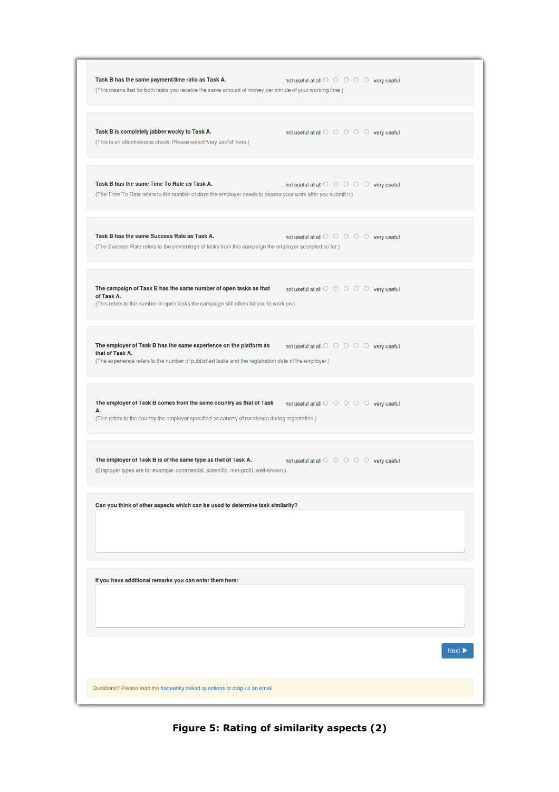|                 | Task B has the same payment/time ratio as Task A.<br>(This means that for both tasks you receive the same amount of money per minute of your working time.)              | not useful at all $\circ$ $\circ$ $\circ$ $\circ$ $\circ$ $\circ$ very useful |  |      |
|-----------------|--------------------------------------------------------------------------------------------------------------------------------------------------------------------------|-------------------------------------------------------------------------------|--|------|
|                 | Task B is completely jabber wocky to Task A.<br>(This is an attentiveness check: Please select 'very useful' here.)                                                      | not useful at all $\circ$ $\circ$ $\circ$ $\circ$ $\circ$ $\circ$ very useful |  |      |
|                 | Task B has the same Time To Rate as Task A.<br>(The Time To Rate refers to the number of days the employer needs to assess your work after you submit it.)               | not useful at all $\circ$ $\circ$ $\circ$ $\circ$ $\circ$ $\circ$ very useful |  |      |
|                 | Task B has the same Success Rate as Task A.<br>(The Success Rate refers to the percentage of tasks from this campaign the employer accepted so far.)                     | not useful at all $\circ$ $\circ$ $\circ$ $\circ$ $\circ$ $\circ$ very useful |  |      |
| of Task A.      | The campaign of Task B has the same number of open tasks as that<br>(This refers to the number of open tasks the campaign still offers for you to work on.)              | not useful at all $\circ$ $\circ$ $\circ$ $\circ$ $\circ$ very useful         |  |      |
| that of Task A. | The employer of Task B has the same experience on the platform as<br>(The experience refers to the number of published tasks and the registration date of the employer.) | not useful at all $\circ$ $\circ$ $\circ$ $\circ$ $\circ$ $\circ$ very useful |  |      |
| А.              | The employer of Task B comes from the same country as that of Task<br>(This refers to the country the employer specified as country of residence during registration.)   | not useful at all $\circ$ $\circ$ $\circ$ $\circ$ $\circ$ $\circ$ very useful |  |      |
|                 | The employer of Task B is of the same type as that of Task A.<br>(Employer types are for example: commercial, scientific, non-profit, well-known.)                       | not useful at all $\circ$ $\circ$ $\circ$ $\circ$ $\circ$ $\circ$ very useful |  |      |
|                 | Can you think of other aspects which can be used to determine task similarity?                                                                                           |                                                                               |  |      |
|                 | If you have additional remarks you can enter them here:                                                                                                                  |                                                                               |  |      |
|                 |                                                                                                                                                                          |                                                                               |  | Next |
|                 | Questions? Please read the frequently asked questions or drop us an email.                                                                                               |                                                                               |  |      |

**Figure 5: Rating of similarity aspects (2)**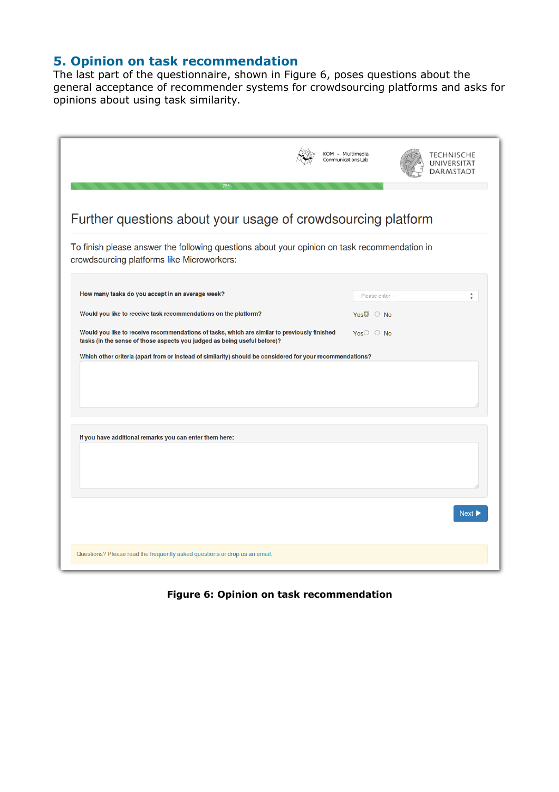## **5. Opinion on task recommendation**

The last part of the questionnaire, shown in Figure 6, poses questions about the general acceptance of recommender systems for crowdsourcing platforms and asks for opinions about using task similarity.

|                                                                                                                                                                          | KOM - Multimedia<br>Communications Lab | ECHNISCHE            |
|--------------------------------------------------------------------------------------------------------------------------------------------------------------------------|----------------------------------------|----------------------|
| Further questions about your usage of crowdsourcing platform                                                                                                             |                                        |                      |
| To finish please answer the following questions about your opinion on task recommendation in<br>crowdsourcing platforms like Microworkers:                               |                                        |                      |
| How many tasks do you accept in an average week?                                                                                                                         | Please enter -                         | $\frac{1}{\sqrt{2}}$ |
| Would you like to receive task recommendations on the platform?                                                                                                          | Yes@<br>$\bigcirc$ No                  |                      |
| Would you like to receive recommendations of tasks, which are similar to previously finished<br>tasks (in the sense of those aspects you judged as being useful before)? | $Yes$ $\circ$ No                       |                      |
|                                                                                                                                                                          |                                        |                      |
| If you have additional remarks you can enter them here:                                                                                                                  |                                        |                      |
|                                                                                                                                                                          |                                        |                      |
|                                                                                                                                                                          |                                        | Next D               |
|                                                                                                                                                                          |                                        |                      |

**Figure 6: Opinion on task recommendation**